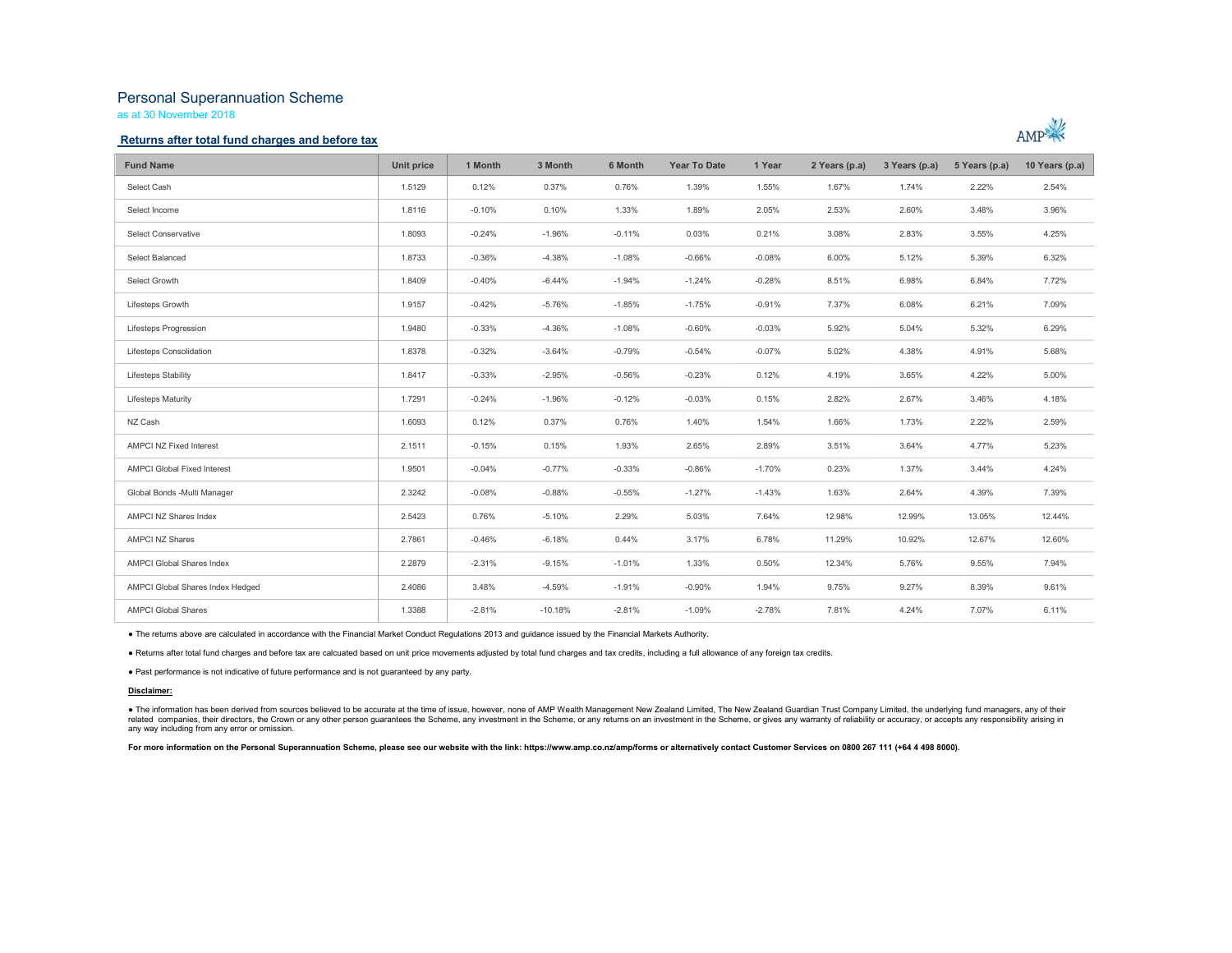# Personal Superannuation Scheme

as at 30 November 2018

### Returns after total fund charges and before tax



| <b>Fund Name</b>                 | Unit price | 1 Month  | 3 Month   | 6 Month  | <b>Year To Date</b> | 1 Year   | 2 Years (p.a) | 3 Years (p.a) | 5 Years (p.a) | 10 Years (p.a) |
|----------------------------------|------------|----------|-----------|----------|---------------------|----------|---------------|---------------|---------------|----------------|
| Select Cash                      | 1.5129     | 0.12%    | 0.37%     | 0.76%    | 1.39%               | 1.55%    | 1.67%         | 1.74%         | 2.22%         | 2.54%          |
| Select Income                    | 1.8116     | $-0.10%$ | 0.10%     | 1.33%    | 1.89%               | 2.05%    | 2.53%         | 2.60%         | 3.48%         | 3.96%          |
| <b>Select Conservative</b>       | 1.8093     | $-0.24%$ | $-1.96%$  | $-0.11%$ | 0.03%               | 0.21%    | 3.08%         | 2.83%         | 3.55%         | 4.25%          |
| Select Balanced                  | 1.8733     | $-0.36%$ | $-4.38%$  | $-1.08%$ | $-0.66%$            | $-0.08%$ | 6.00%         | 5.12%         | 5.39%         | 6.32%          |
| Select Growth                    | 1.8409     | $-0.40%$ | $-6.44%$  | $-1.94%$ | $-1.24%$            | $-0.28%$ | 8.51%         | 6.98%         | 6.84%         | 7.72%          |
| Lifesteps Growth                 | 1.9157     | $-0.42%$ | $-5.76%$  | $-1.85%$ | $-1.75%$            | $-0.91%$ | 7.37%         | 6.08%         | 6.21%         | 7.09%          |
| Lifesteps Progression            | 1.9480     | $-0.33%$ | $-4.36%$  | $-1.08%$ | $-0.60%$            | $-0.03%$ | 5.92%         | 5.04%         | 5.32%         | 6.29%          |
| Lifesteps Consolidation          | 1.8378     | $-0.32%$ | $-3.64%$  | $-0.79%$ | $-0.54%$            | $-0.07%$ | 5.02%         | 4.38%         | 4.91%         | 5.68%          |
| Lifesteps Stability              | 1.8417     | $-0.33%$ | $-2.95%$  | $-0.56%$ | $-0.23%$            | 0.12%    | 4.19%         | 3.65%         | 4.22%         | 5.00%          |
| <b>Lifesteps Maturity</b>        | 1.7291     | $-0.24%$ | $-1.96%$  | $-0.12%$ | $-0.03%$            | 0.15%    | 2.82%         | 2.67%         | 3.46%         | 4.18%          |
| NZ Cash                          | 1.6093     | 0.12%    | 0.37%     | 0.76%    | 1.40%               | 1.54%    | 1.66%         | 1.73%         | 2.22%         | 2.59%          |
| AMPCI NZ Fixed Interest          | 2.1511     | $-0.15%$ | 0.15%     | 1.93%    | 2.65%               | 2.89%    | 3.51%         | 3.64%         | 4.77%         | 5.23%          |
| AMPCI Global Fixed Interest      | 1.9501     | $-0.04%$ | $-0.77%$  | $-0.33%$ | $-0.86%$            | $-1.70%$ | 0.23%         | 1.37%         | 3.44%         | 4.24%          |
| Global Bonds -Multi Manager      | 2.3242     | $-0.08%$ | $-0.88%$  | $-0.55%$ | $-1.27%$            | $-1.43%$ | 1.63%         | 2.64%         | 4.39%         | 7.39%          |
| AMPCI NZ Shares Index            | 2.5423     | 0.76%    | $-5.10%$  | 2.29%    | 5.03%               | 7.64%    | 12.98%        | 12.99%        | 13.05%        | 12.44%         |
| <b>AMPCI NZ Shares</b>           | 2.7861     | $-0.46%$ | $-6.18%$  | 0.44%    | 3.17%               | 6.78%    | 11.29%        | 10.92%        | 12.67%        | 12.60%         |
| <b>AMPCI Global Shares Index</b> | 2.2879     | $-2.31%$ | $-9.15%$  | $-1.01%$ | 1.33%               | 0.50%    | 12.34%        | 5.76%         | 9.55%         | 7.94%          |
| AMPCI Global Shares Index Hedged | 2.4086     | 3.48%    | $-4.59%$  | $-1.91%$ | $-0.90%$            | 1.94%    | 9.75%         | 9.27%         | 8.39%         | 9.61%          |
| <b>AMPCI Global Shares</b>       | 1.3388     | $-2.81%$ | $-10.18%$ | $-2.81%$ | $-1.09%$            | $-2.78%$ | 7.81%         | 4.24%         | 7.07%         | 6.11%          |

■ The returns above are calculated in accordance with the Financial Market Conduct Regulations 2013 and guidance issued by the Financial Markets Authority.<br>■ Returns after total fund charges and before tax are calcuated b

#### Disclaimer:

● The information has been derived from sources believed to be accurate at the time of issue, however, none of AMP Wealth Management New Zealand Limited, The New Zealand Guardian Trust Company Limited, the underlying fund any way including from any error or omission.

For more information on the Personal Superannuation Scheme, please see our website with the link: https://www.amp.co.nz/amp/forms or alternatively contact Customer Services on 0800 267 111 (+64 4 498 8000).